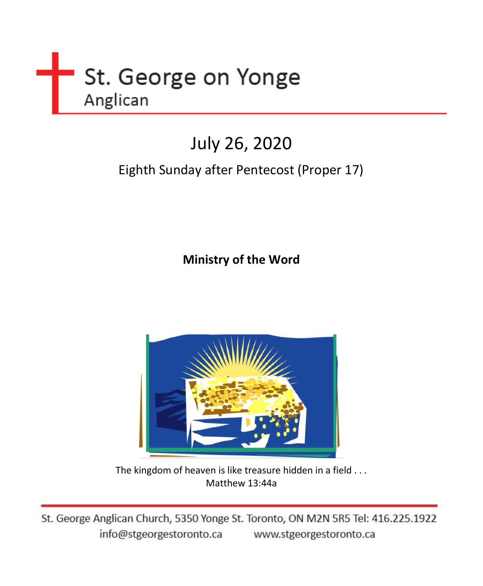

# July 26, 2020

## Eighth Sunday after Pentecost (Proper 17)

**Ministry of the Word** 



The kingdom of heaven is like treasure hidden in a field . . . Matthew 13:44a

St. George Anglican Church, 5350 Yonge St. Toronto, ON M2N 5R5 Tel: 416.225.1922 info@stgeorgestoronto.ca www.stgeorgestoronto.ca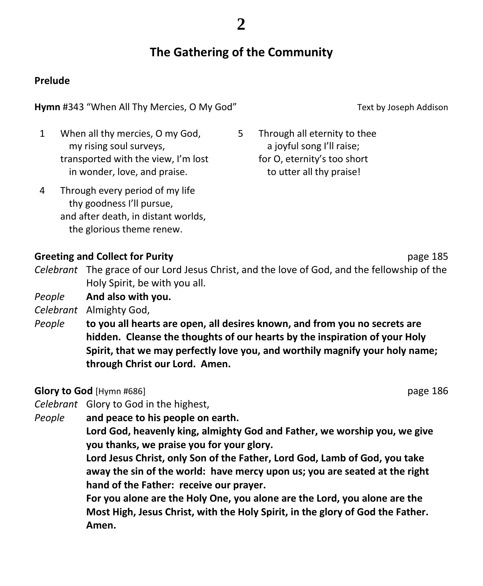### **The Gathering of the Community**

### **Prelude**

#### **Hymn** #343 "When All Thy Mercies, O My God" Text by Joseph Addison

1 When all thy mercies, O my God, my rising soul surveys, transported with the view, I'm lost in wonder, love, and praise.

4 Through every period of my life thy goodness I'll pursue, and after death, in distant worlds, the glorious theme renew.

5 Through all eternity to thee a joyful song I'll raise; for O, eternity's too short to utter all thy praise!

### **Greeting and Collect for Purity and Collect for Purity and Collect for Purity Page 185**

*Celebrant* The grace of our Lord Jesus Christ, and the love of God, and the fellowship of the Holy Spirit, be with you all.

*People* **And also with you.**

*Celebrant* Almighty God,

*People* **to you all hearts are open, all desires known, and from you no secrets are hidden. Cleanse the thoughts of our hearts by the inspiration of your Holy Spirit, that we may perfectly love you, and worthily magnify your holy name; through Christ our Lord. Amen.**

**Glory to God** [Hymn #686] **page 186 page 186** 

*Celebrant* Glory to God in the highest,

*People* **and peace to his people on earth.**

**Lord God, heavenly king, almighty God and Father, we worship you, we give you thanks, we praise you for your glory.**

**Lord Jesus Christ, only Son of the Father, Lord God, Lamb of God, you take away the sin of the world: have mercy upon us; you are seated at the right hand of the Father: receive our prayer.**

**For you alone are the Holy One, you alone are the Lord, you alone are the Most High, Jesus Christ, with the Holy Spirit, in the glory of God the Father. Amen.**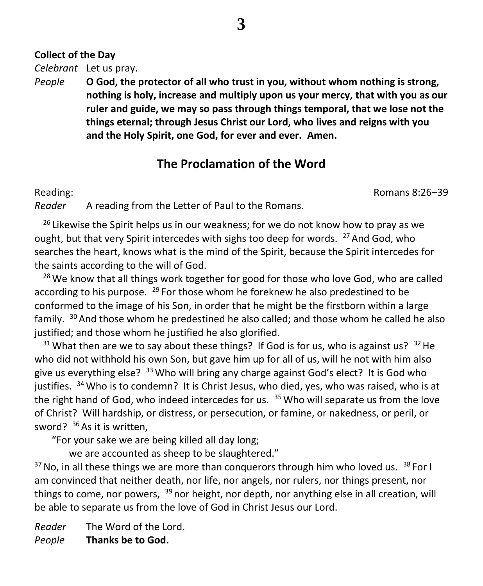### **Collect of the Day**

*Celebrant* Let us pray.

*People* **O God, the protector of all who trust in you, without whom nothing is strong, nothing is holy, increase and multiply upon us your mercy, that with you as our ruler and guide, we may so pass through things temporal, that we lose not the things eternal; through Jesus Christ our Lord, who lives and reigns with you and the Holy Spirit, one God, for ever and ever. Amen.**

### **The Proclamation of the Word**

Reading: Romans 8:26–39

*Reader* A reading from the Letter of Paul to the Romans.

<sup>26</sup> Likewise the Spirit helps us in our weakness; for we do not know how to pray as we ought, but that very Spirit intercedes with sighs too deep for words.  $^{27}$  And God, who searches the heart, knows what is the mind of the Spirit, because the Spirit intercedes for the saints according to the will of God.

<sup>28</sup> We know that all things work together for good for those who love God, who are called according to his purpose.  $^{29}$  For those whom he foreknew he also predestined to be conformed to the image of his Son, in order that he might be the firstborn within a large family. <sup>30</sup> And those whom he predestined he also called; and those whom he called he also justified; and those whom he justified he also glorified.

 $31$  What then are we to say about these things? If God is for us, who is against us?  $32$  He who did not withhold his own Son, but gave him up for all of us, will he not with him also give us everything else?  $33$  Who will bring any charge against God's elect? It is God who justifies. <sup>34</sup> Who is to condemn? It is Christ Jesus, who died, yes, who was raised, who is at the right hand of God, who indeed intercedes for us. <sup>35</sup> Who will separate us from the love of Christ? Will hardship, or distress, or persecution, or famine, or nakedness, or peril, or sword?  $36$  As it is written.

"For your sake we are being killed all day long;

we are accounted as sheep to be slaughtered."

 $37$  No, in all these things we are more than conquerors through him who loved us.  $38$  For I am convinced that neither death, nor life, nor angels, nor rulers, nor things present, nor things to come, nor powers, <sup>39</sup> nor height, nor depth, nor anything else in all creation, will be able to separate us from the love of God in Christ Jesus our Lord.

*Reader* The Word of the Lord. *People* **Thanks be to God.**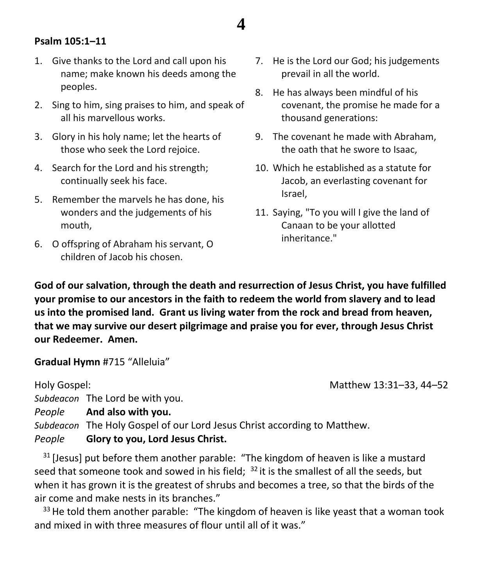### **Psalm 105:1–11**

- 1. Give thanks to the Lord and call upon his name; make known his deeds among the peoples.
- 2. Sing to him, sing praises to him, and speak of all his marvellous works.
- 3. Glory in his holy name; let the hearts of those who seek the Lord rejoice.
- 4. Search for the Lord and his strength; continually seek his face.
- 5. Remember the marvels he has done, his wonders and the judgements of his mouth,
- 6. O offspring of Abraham his servant, O children of Jacob his chosen.
- 7. He is the Lord our God; his judgements prevail in all the world.
- 8. He has always been mindful of his covenant, the promise he made for a thousand generations:
- 9. The covenant he made with Abraham, the oath that he swore to Isaac,
- 10. Which he established as a statute for Jacob, an everlasting covenant for Israel,
- 11. Saying, "To you will I give the land of Canaan to be your allotted inheritance."

**God of our salvation, through the death and resurrection of Jesus Christ, you have fulfilled your promise to our ancestors in the faith to redeem the world from slavery and to lead us into the promised land. Grant us living water from the rock and bread from heaven, that we may survive our desert pilgrimage and praise you for ever, through Jesus Christ our Redeemer. Amen.**

**4**

**Gradual Hymn** #715 "Alleluia"

Holy Gospel: Matthew 13:31–33, 44–52 *Subdeacon* The Lord be with you. *People* **And also with you.** *Subdeacon* The Holy Gospel of our Lord Jesus Christ according to Matthew.

### *People* **Glory to you, Lord Jesus Christ.**

<sup>31</sup> [Jesus] put before them another parable: "The kingdom of heaven is like a mustard seed that someone took and sowed in his field;  $32$  it is the smallest of all the seeds, but when it has grown it is the greatest of shrubs and becomes a tree, so that the birds of the air come and make nests in its branches."

 $33$  He told them another parable: "The kingdom of heaven is like yeast that a woman took and mixed in with three measures of flour until all of it was."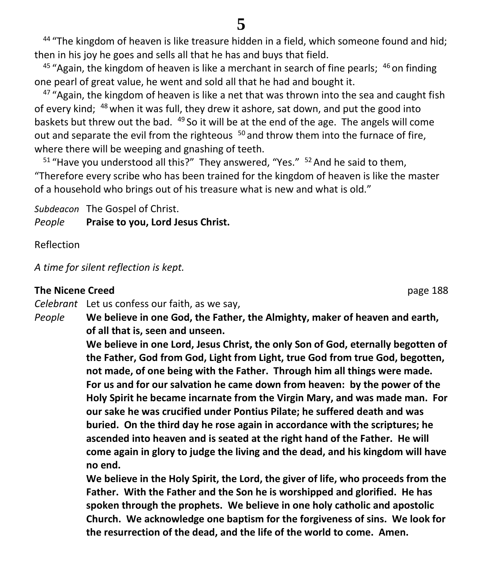### **5**

<sup>44</sup> "The kingdom of heaven is like treasure hidden in a field, which someone found and hid; then in his joy he goes and sells all that he has and buys that field.

 $45$  "Again, the kingdom of heaven is like a merchant in search of fine pearls;  $46$  on finding one pearl of great value, he went and sold all that he had and bought it.

 $47$  "Again, the kingdom of heaven is like a net that was thrown into the sea and caught fish of every kind; <sup>48</sup> when it was full, they drew it ashore, sat down, and put the good into baskets but threw out the bad.  $49$  So it will be at the end of the age. The angels will come out and separate the evil from the righteous <sup>50</sup> and throw them into the furnace of fire, where there will be weeping and gnashing of teeth.

 $51$  "Have you understood all this?" They answered, "Yes."  $52$  And he said to them, "Therefore every scribe who has been trained for the kingdom of heaven is like the master of a household who brings out of his treasure what is new and what is old."

*Subdeacon* The Gospel of Christ.

*People* **Praise to you, Lord Jesus Christ.**

Reflection

*A time for silent reflection is kept.*

### **The Nicene Creed page 188**

*Celebrant* Let us confess our faith, as we say,

*People* **We believe in one God, the Father, the Almighty, maker of heaven and earth, of all that is, seen and unseen.**

> **We believe in one Lord, Jesus Christ, the only Son of God, eternally begotten of the Father, God from God, Light from Light, true God from true God, begotten, not made, of one being with the Father. Through him all things were made. For us and for our salvation he came down from heaven: by the power of the Holy Spirit he became incarnate from the Virgin Mary, and was made man. For our sake he was crucified under Pontius Pilate; he suffered death and was buried. On the third day he rose again in accordance with the scriptures; he ascended into heaven and is seated at the right hand of the Father. He will come again in glory to judge the living and the dead, and his kingdom will have no end.**

> **We believe in the Holy Spirit, the Lord, the giver of life, who proceeds from the Father. With the Father and the Son he is worshipped and glorified. He has spoken through the prophets. We believe in one holy catholic and apostolic Church. We acknowledge one baptism for the forgiveness of sins. We look for the resurrection of the dead, and the life of the world to come. Amen.**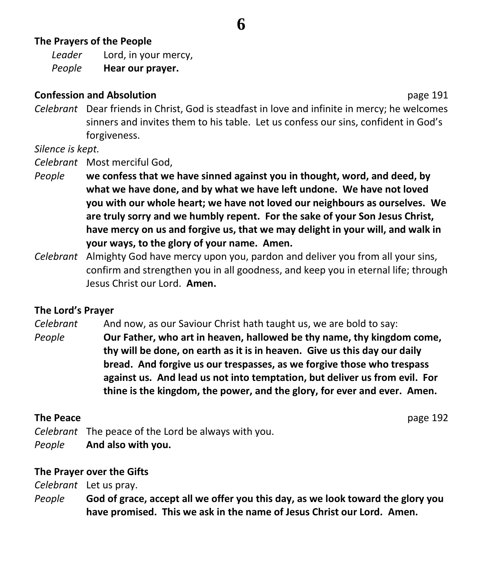### **The Prayers of the People**

*Leader* Lord, in your mercy, *People* **Hear our prayer.**

### **Confession and Absolution page 191**

*Celebrant* Dear friends in Christ, God is steadfast in love and infinite in mercy; he welcomes sinners and invites them to his table. Let us confess our sins, confident in God's forgiveness.

**6**

*Silence is kept.*

*Celebrant* Most merciful God,

- *People* **we confess that we have sinned against you in thought, word, and deed, by what we have done, and by what we have left undone. We have not loved you with our whole heart; we have not loved our neighbours as ourselves. We are truly sorry and we humbly repent. For the sake of your Son Jesus Christ, have mercy on us and forgive us, that we may delight in your will, and walk in your ways, to the glory of your name. Amen.**
- *Celebrant* Almighty God have mercy upon you, pardon and deliver you from all your sins, confirm and strengthen you in all goodness, and keep you in eternal life; through Jesus Christ our Lord. **Amen.**

### **The Lord's Prayer**

*Celebrant* And now, as our Saviour Christ hath taught us, we are bold to say:

*People* **Our Father, who art in heaven, hallowed be thy name, thy kingdom come, thy will be done, on earth as it is in heaven. Give us this day our daily bread. And forgive us our trespasses, as we forgive those who trespass against us. And lead us not into temptation, but deliver us from evil. For thine is the kingdom, the power, and the glory, for ever and ever. Amen.**

### **The Peace** page 192

*Celebrant* The peace of the Lord be always with you. *People* **And also with you.**

### **The Prayer over the Gifts**

*Celebrant* Let us pray.

*People* **God of grace, accept all we offer you this day, as we look toward the glory you have promised. This we ask in the name of Jesus Christ our Lord. Amen.**